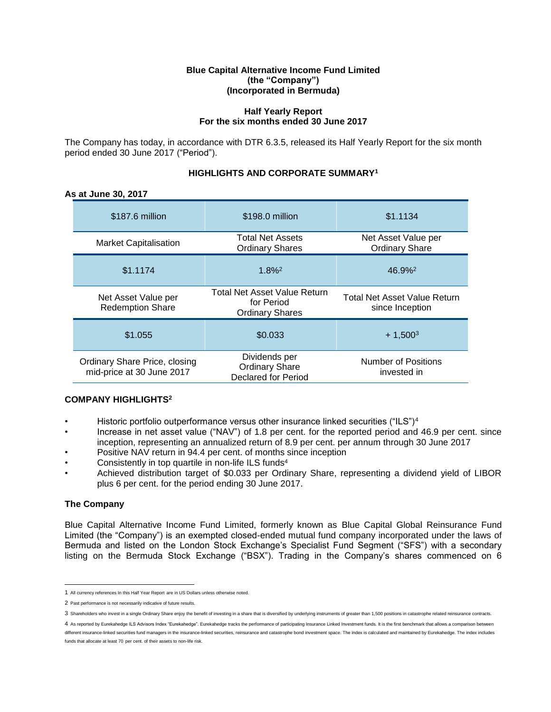## **Blue Capital Alternative Income Fund Limited (the "Company") (Incorporated in Bermuda)**

# **Half Yearly Report For the six months ended 30 June 2017**

The Company has today, in accordance with DTR 6.3.5, released its Half Yearly Report for the six month period ended 30 June 2017 ("Period").

# **HIGHLIGHTS AND CORPORATE SUMMARY<sup>1</sup>**

# **As at June 30, 2017**

| \$187.6 million                                            | \$198.0 million                                                      | \$1.1134                                        |
|------------------------------------------------------------|----------------------------------------------------------------------|-------------------------------------------------|
| <b>Market Capitalisation</b>                               | <b>Total Net Assets</b><br><b>Ordinary Shares</b>                    | Net Asset Value per<br><b>Ordinary Share</b>    |
| \$1.1174                                                   | $1.8\%$ <sup>2</sup>                                                 | $46.9\%$ <sup>2</sup>                           |
| Net Asset Value per<br><b>Redemption Share</b>             | Total Net Asset Value Return<br>for Period<br><b>Ordinary Shares</b> | Total Net Asset Value Return<br>since Inception |
| \$1.055                                                    | \$0.033                                                              | $+1,500^3$                                      |
| Ordinary Share Price, closing<br>mid-price at 30 June 2017 | Dividends per<br><b>Ordinary Share</b><br><b>Declared for Period</b> | Number of Positions<br>invested in              |

# **COMPANY HIGHLIGHTS<sup>2</sup>**

- Historic portfolio outperformance versus other insurance linked securities ("ILS")<sup>4</sup>
- Increase in net asset value ("NAV") of 1.8 per cent. for the reported period and 46.9 per cent. since inception, representing an annualized return of 8.9 per cent. per annum through 30 June 2017
- Positive NAV return in 94.4 per cent. of months since inception
- Consistently in top quartile in non-life ILS funds<sup>4</sup>
- Achieved distribution target of \$0.033 per Ordinary Share, representing a dividend yield of LIBOR plus 6 per cent. for the period ending 30 June 2017.

# **The Company**

Blue Capital Alternative Income Fund Limited, formerly known as Blue Capital Global Reinsurance Fund Limited (the "Company") is an exempted closed-ended mutual fund company incorporated under the laws of Bermuda and listed on the London Stock Exchange's Specialist Fund Segment ("SFS") with a secondary listing on the Bermuda Stock Exchange ("BSX"). Trading in the Company's shares commenced on 6

funds that allocate at least 70 per cent. of their assets to non-life risk.

<sup>1</sup> All currency references In this Half Year Report are in US Dollars unless otherwise noted.

<sup>2</sup> Past performance is not necessarily indicative of future results.

<sup>3</sup> Shareholders who invest in a single Ordinary Share enjoy the benefit of investing in a share that is diversified by underlying instruments of greater than 1,500 positions in catastrophe related reinsurance contracts.

<sup>4</sup> As reported by Eurekahedge ILS Advisors Index "Eurekahedge". Eurekahedge tracks the performance of participating Insurance Linked Investment funds. It is the first benchmark that allows a comparison between different insurance-linked securities fund managers in the insurance-linked securities, reinsurance and catastrophe bond investment space. The index is calculated and maintained by Eurekahedge. The index includes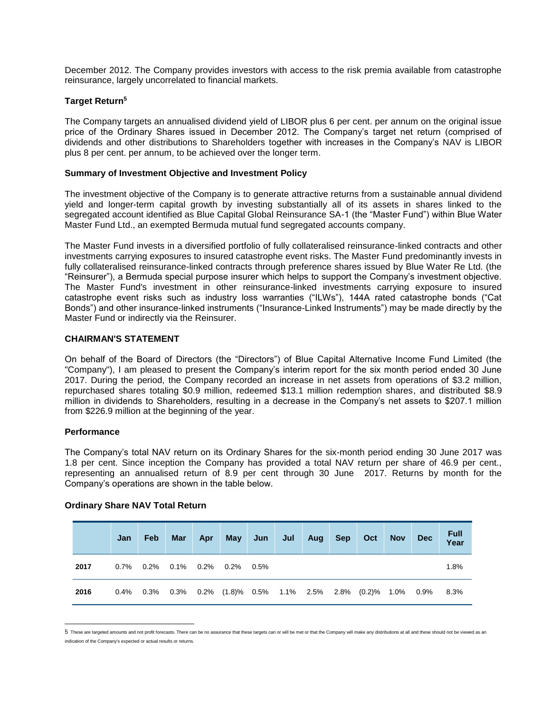December 2012. The Company provides investors with access to the risk premia available from catastrophe reinsurance, largely uncorrelated to financial markets.

# **Target Return<sup>5</sup>**

The Company targets an annualised dividend yield of LIBOR plus 6 per cent. per annum on the original issue price of the Ordinary Shares issued in December 2012. The Company's target net return (comprised of dividends and other distributions to Shareholders together with increases in the Company's NAV is LIBOR plus 8 per cent. per annum, to be achieved over the longer term.

# **Summary of Investment Objective and Investment Policy**

The investment objective of the Company is to generate attractive returns from a sustainable annual dividend yield and longer-term capital growth by investing substantially all of its assets in shares linked to the segregated account identified as Blue Capital Global Reinsurance SA-1 (the "Master Fund") within Blue Water Master Fund Ltd., an exempted Bermuda mutual fund segregated accounts company.

The Master Fund invests in a diversified portfolio of fully collateralised reinsurance-linked contracts and other investments carrying exposures to insured catastrophe event risks. The Master Fund predominantly invests in fully collateralised reinsurance-linked contracts through preference shares issued by Blue Water Re Ltd. (the "Reinsurer"), a Bermuda special purpose insurer which helps to support the Company's investment objective. The Master Fund's investment in other reinsurance-linked investments carrying exposure to insured catastrophe event risks such as industry loss warranties ("ILWs"), 144A rated catastrophe bonds ("Cat Bonds") and other insurance-linked instruments ("Insurance-Linked Instruments") may be made directly by the Master Fund or indirectly via the Reinsurer.

# **CHAIRMAN'S STATEMENT**

On behalf of the Board of Directors (the "Directors") of Blue Capital Alternative Income Fund Limited (the "Company"), I am pleased to present the Company's interim report for the six month period ended 30 June 2017. During the period, the Company recorded an increase in net assets from operations of \$3.2 million, repurchased shares totaling \$0.9 million, redeemed \$13.1 million redemption shares, and distributed \$8.9 million in dividends to Shareholders, resulting in a decrease in the Company's net assets to \$207.1 million from \$226.9 million at the beginning of the year.

# **Performance**

 $\overline{a}$ 

The Company's total NAV return on its Ordinary Shares for the six-month period ending 30 June 2017 was 1.8 per cent. Since inception the Company has provided a total NAV return per share of 46.9 per cent., representing an annualised return of 8.9 per cent through 30 June 2017. Returns by month for the Company's operations are shown in the table below.

|      | Jan     | Feb | <b>Mar</b> | Apr | <b>May</b>                                                                          | Jun | Jul | Aug | <b>Sep</b> | Oct | <b>Nov</b> | <b>Dec</b> | <b>Full</b><br>Year |
|------|---------|-----|------------|-----|-------------------------------------------------------------------------------------|-----|-----|-----|------------|-----|------------|------------|---------------------|
| 2017 |         |     |            |     | $0.7\%$ 0.2% 0.1% 0.2% 0.2% 0.5%                                                    |     |     |     |            |     |            |            | 1.8%                |
| 2016 | $0.4\%$ |     |            |     | $0.3\%$ $0.3\%$ $0.2\%$ $(1.8)\%$ $0.5\%$ $1.1\%$ $2.5\%$ $2.8\%$ $(0.2)\%$ $1.0\%$ |     |     |     |            |     |            | 0.9%       | 8.3%                |

# **Ordinary Share NAV Total Return**

<sup>5</sup> These are targeted amounts and not profit forecasts. There can be no assurance that these targets can or will be met or that the Company will make any distributions at all and these should not be viewed as an indication of the Company's expected or actual results or returns.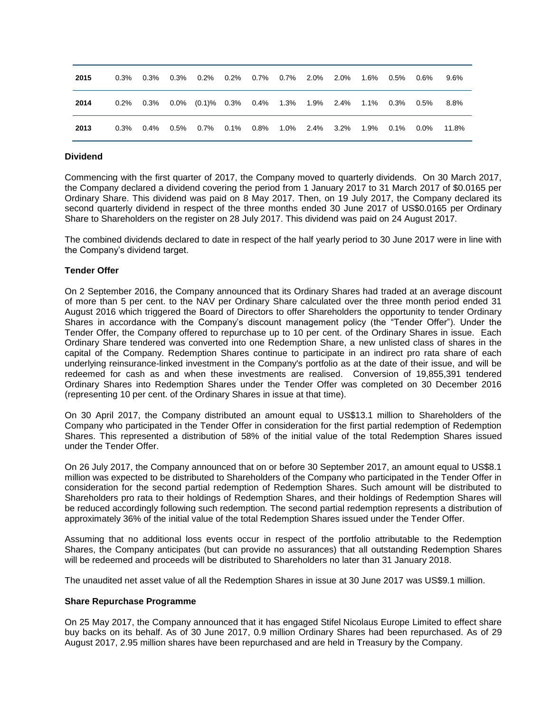| 2015 | 0.3% | 0.3% | 0.3% 0.2%                                         | 0.2% 0.7% 0.7% 2.0% 2.0% |  | 1.6%  0.5% | 0.6% | $9.6\%$ |
|------|------|------|---------------------------------------------------|--------------------------|--|------------|------|---------|
| 2014 | 0.2% | 0.3% | $0.0\%$ (0.1)% 0.3% 0.4% 1.3% 1.9% 2.4% 1.1% 0.3% |                          |  |            | 0.5% | 8.8%    |
| 2013 | 0.3% | 0.4% | $0.5\%$ 0.7% 0.1% 0.8% 1.0% 2.4% 3.2% 1.9% 0.1%   |                          |  |            | 0.0% | 11.8%   |

### **Dividend**

Commencing with the first quarter of 2017, the Company moved to quarterly dividends. On 30 March 2017, the Company declared a dividend covering the period from 1 January 2017 to 31 March 2017 of \$0.0165 per Ordinary Share. This dividend was paid on 8 May 2017. Then, on 19 July 2017, the Company declared its second quarterly dividend in respect of the three months ended 30 June 2017 of US\$0.0165 per Ordinary Share to Shareholders on the register on 28 July 2017. This dividend was paid on 24 August 2017.

The combined dividends declared to date in respect of the half yearly period to 30 June 2017 were in line with the Company's dividend target.

### **Tender Offer**

On 2 September 2016, the Company announced that its Ordinary Shares had traded at an average discount of more than 5 per cent. to the NAV per Ordinary Share calculated over the three month period ended 31 August 2016 which triggered the Board of Directors to offer Shareholders the opportunity to tender Ordinary Shares in accordance with the Company's discount management policy (the "Tender Offer"). Under the Tender Offer, the Company offered to repurchase up to 10 per cent. of the Ordinary Shares in issue. Each Ordinary Share tendered was converted into one Redemption Share, a new unlisted class of shares in the capital of the Company. Redemption Shares continue to participate in an indirect pro rata share of each underlying reinsurance-linked investment in the Company's portfolio as at the date of their issue, and will be redeemed for cash as and when these investments are realised. Conversion of 19,855,391 tendered Ordinary Shares into Redemption Shares under the Tender Offer was completed on 30 December 2016 (representing 10 per cent. of the Ordinary Shares in issue at that time).

On 30 April 2017, the Company distributed an amount equal to US\$13.1 million to Shareholders of the Company who participated in the Tender Offer in consideration for the first partial redemption of Redemption Shares. This represented a distribution of 58% of the initial value of the total Redemption Shares issued under the Tender Offer.

On 26 July 2017, the Company announced that on or before 30 September 2017, an amount equal to US\$8.1 million was expected to be distributed to Shareholders of the Company who participated in the Tender Offer in consideration for the second partial redemption of Redemption Shares. Such amount will be distributed to Shareholders pro rata to their holdings of Redemption Shares, and their holdings of Redemption Shares will be reduced accordingly following such redemption. The second partial redemption represents a distribution of approximately 36% of the initial value of the total Redemption Shares issued under the Tender Offer.

Assuming that no additional loss events occur in respect of the portfolio attributable to the Redemption Shares, the Company anticipates (but can provide no assurances) that all outstanding Redemption Shares will be redeemed and proceeds will be distributed to Shareholders no later than 31 January 2018.

The unaudited net asset value of all the Redemption Shares in issue at 30 June 2017 was US\$9.1 million.

### **Share Repurchase Programme**

On 25 May 2017, the Company announced that it has engaged Stifel Nicolaus Europe Limited to effect share buy backs on its behalf. As of 30 June 2017, 0.9 million Ordinary Shares had been repurchased. As of 29 August 2017, 2.95 million shares have been repurchased and are held in Treasury by the Company.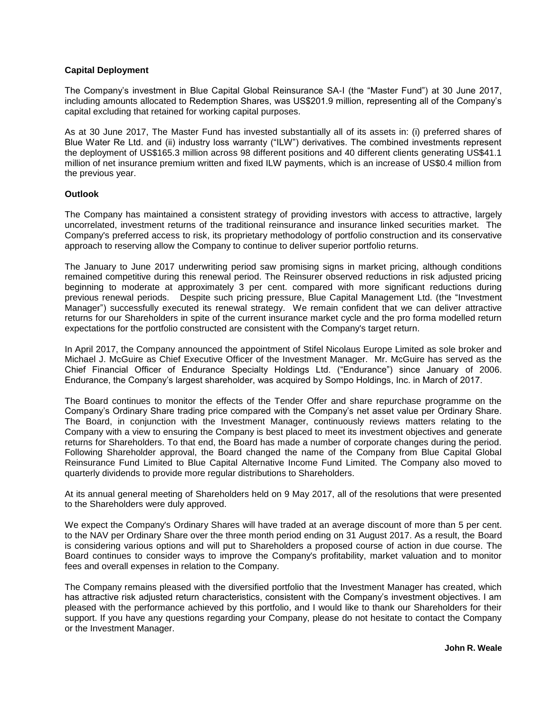# **Capital Deployment**

The Company's investment in Blue Capital Global Reinsurance SA-I (the "Master Fund") at 30 June 2017, including amounts allocated to Redemption Shares, was US\$201.9 million, representing all of the Company's capital excluding that retained for working capital purposes.

As at 30 June 2017, The Master Fund has invested substantially all of its assets in: (i) preferred shares of Blue Water Re Ltd. and (ii) industry loss warranty ("ILW") derivatives. The combined investments represent the deployment of US\$165.3 million across 98 different positions and 40 different clients generating US\$41.1 million of net insurance premium written and fixed ILW payments, which is an increase of US\$0.4 million from the previous year.

# **Outlook**

The Company has maintained a consistent strategy of providing investors with access to attractive, largely uncorrelated, investment returns of the traditional reinsurance and insurance linked securities market. The Company's preferred access to risk, its proprietary methodology of portfolio construction and its conservative approach to reserving allow the Company to continue to deliver superior portfolio returns.

The January to June 2017 underwriting period saw promising signs in market pricing, although conditions remained competitive during this renewal period. The Reinsurer observed reductions in risk adjusted pricing beginning to moderate at approximately 3 per cent. compared with more significant reductions during previous renewal periods. Despite such pricing pressure, Blue Capital Management Ltd. (the "Investment Manager") successfully executed its renewal strategy. We remain confident that we can deliver attractive returns for our Shareholders in spite of the current insurance market cycle and the pro forma modelled return expectations for the portfolio constructed are consistent with the Company's target return.

In April 2017, the Company announced the appointment of Stifel Nicolaus Europe Limited as sole broker and Michael J. McGuire as Chief Executive Officer of the Investment Manager. Mr. McGuire has served as the Chief Financial Officer of Endurance Specialty Holdings Ltd. ("Endurance") since January of 2006. Endurance, the Company's largest shareholder, was acquired by Sompo Holdings, Inc. in March of 2017.

The Board continues to monitor the effects of the Tender Offer and share repurchase programme on the Company's Ordinary Share trading price compared with the Company's net asset value per Ordinary Share. The Board, in conjunction with the Investment Manager, continuously reviews matters relating to the Company with a view to ensuring the Company is best placed to meet its investment objectives and generate returns for Shareholders. To that end, the Board has made a number of corporate changes during the period. Following Shareholder approval, the Board changed the name of the Company from Blue Capital Global Reinsurance Fund Limited to Blue Capital Alternative Income Fund Limited. The Company also moved to quarterly dividends to provide more regular distributions to Shareholders.

At its annual general meeting of Shareholders held on 9 May 2017, all of the resolutions that were presented to the Shareholders were duly approved.

We expect the Company's Ordinary Shares will have traded at an average discount of more than 5 per cent. to the NAV per Ordinary Share over the three month period ending on 31 August 2017. As a result, the Board is considering various options and will put to Shareholders a proposed course of action in due course. The Board continues to consider ways to improve the Company's profitability, market valuation and to monitor fees and overall expenses in relation to the Company.

The Company remains pleased with the diversified portfolio that the Investment Manager has created, which has attractive risk adjusted return characteristics, consistent with the Company's investment objectives. I am pleased with the performance achieved by this portfolio, and I would like to thank our Shareholders for their support. If you have any questions regarding your Company, please do not hesitate to contact the Company or the Investment Manager.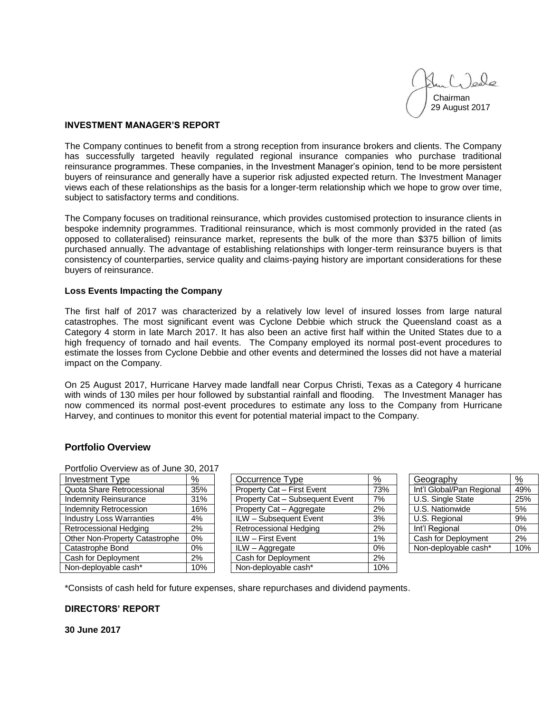Chairman 29 August 2017

# **INVESTMENT MANAGER'S REPORT**

The Company continues to benefit from a strong reception from insurance brokers and clients. The Company has successfully targeted heavily regulated regional insurance companies who purchase traditional reinsurance programmes. These companies, in the Investment Manager's opinion, tend to be more persistent buyers of reinsurance and generally have a superior risk adjusted expected return. The Investment Manager views each of these relationships as the basis for a longer-term relationship which we hope to grow over time, subject to satisfactory terms and conditions.

The Company focuses on traditional reinsurance, which provides customised protection to insurance clients in bespoke indemnity programmes. Traditional reinsurance, which is most commonly provided in the rated (as opposed to collateralised) reinsurance market, represents the bulk of the more than \$375 billion of limits purchased annually. The advantage of establishing relationships with longer-term reinsurance buyers is that consistency of counterparties, service quality and claims-paying history are important considerations for these buyers of reinsurance.

### **Loss Events Impacting the Company**

The first half of 2017 was characterized by a relatively low level of insured losses from large natural catastrophes. The most significant event was Cyclone Debbie which struck the Queensland coast as a Category 4 storm in late March 2017. It has also been an active first half within the United States due to a high frequency of tornado and hail events. The Company employed its normal post-event procedures to estimate the losses from Cyclone Debbie and other events and determined the losses did not have a material impact on the Company.

On 25 August 2017, Hurricane Harvey made landfall near Corpus Christi, Texas as a Category 4 hurricane with winds of 130 miles per hour followed by substantial rainfall and flooding. The Investment Manager has now commenced its normal post-event procedures to estimate any loss to the Company from Hurricane Harvey, and continues to monitor this event for potential material impact to the Company.

# **Portfolio Overview**

| Portfolio Overview as of June 30, 2017 |               |                                 |               |  |  |  |  |  |
|----------------------------------------|---------------|---------------------------------|---------------|--|--|--|--|--|
| <b>Investment Type</b>                 | $\frac{9}{6}$ | Occurrence Type                 | $\frac{9}{6}$ |  |  |  |  |  |
| Quota Share Retrocessional             | 35%           | Property Cat - First Event      | 73%           |  |  |  |  |  |
| <b>Indemnity Reinsurance</b>           | 31%           | Property Cat - Subsequent Event | 7%            |  |  |  |  |  |
| <b>Indemnity Retrocession</b>          | 16%           | Property Cat - Aggregate        | 2%            |  |  |  |  |  |
| <b>Industry Loss Warranties</b>        | 4%            | ILW - Subsequent Event          | 3%            |  |  |  |  |  |
| Retrocessional Hedging                 | 2%            | Retrocessional Hedging          | 2%            |  |  |  |  |  |
| Other Non-Property Catastrophe         | $0\%$         | <b>ILW</b> - First Event        | 1%            |  |  |  |  |  |
| Catastrophe Bond                       | 0%            | ILW - Aggregate                 | 0%            |  |  |  |  |  |
| Cash for Deployment                    | 2%            | Cash for Deployment             | 2%            |  |  |  |  |  |
| Non-deployable cash*                   | 10%           | Non-deployable cash*            | 10%           |  |  |  |  |  |

| FUILIUIIU OVEI VIEW AS UI JUITE 30. ZUTT |               |                                 |               |                           |                       |
|------------------------------------------|---------------|---------------------------------|---------------|---------------------------|-----------------------|
| Investment Type                          | $\frac{9}{6}$ | Occurrence Type                 | $\frac{9}{6}$ | Geography                 | $\frac{\%}{\sqrt{2}}$ |
| Quota Share Retrocessional               | 35%           | Property Cat - First Event      | 73%           | Int'l Global/Pan Regional | 49%                   |
| <b>Indemnity Reinsurance</b>             | 31%           | Property Cat - Subsequent Event | 7%            | U.S. Single State         | 25%                   |
| <b>Indemnity Retrocession</b>            | 16%           | Property Cat - Aggregate        | 2%            | U.S. Nationwide           | 5%                    |
| <b>Industry Loss Warranties</b>          | 4%            | ILW - Subsequent Event          | 3%            | U.S. Regional             | 9%                    |
| Retrocessional Hedging                   | 2%            | <b>Retrocessional Hedging</b>   | 2%            | Int'l Regional            | 0%                    |
| Other Non-Property Catastrophe           | 0%            | ILW - First Event               | 1%            | Cash for Deployment       | $2\%$                 |
| Catastrophe Bond                         | $0\%$         | ILW - Aggregate                 | 0%            | Non-deployable cash*      | 10%                   |
| Cash for Deployment                      | 2%            | Cash for Deployment             | 2%            |                           |                       |
| Non-denlovable cash*                     | 10%           | Non-deplovable cash*            | 10%           |                           |                       |

| Geography                 |     |
|---------------------------|-----|
| Int'l Global/Pan Regional | 49% |
| U.S. Single State         | 25% |
| U.S. Nationwide           | 5%  |
| U.S. Regional             | 9%  |
| Int'l Regional            | 0%  |
| Cash for Deployment       | 2%  |
| Non-deployable cash*      | 10% |

\*Consists of cash held for future expenses, share repurchases and dividend payments.

# **DIRECTORS' REPORT**

**30 June 2017**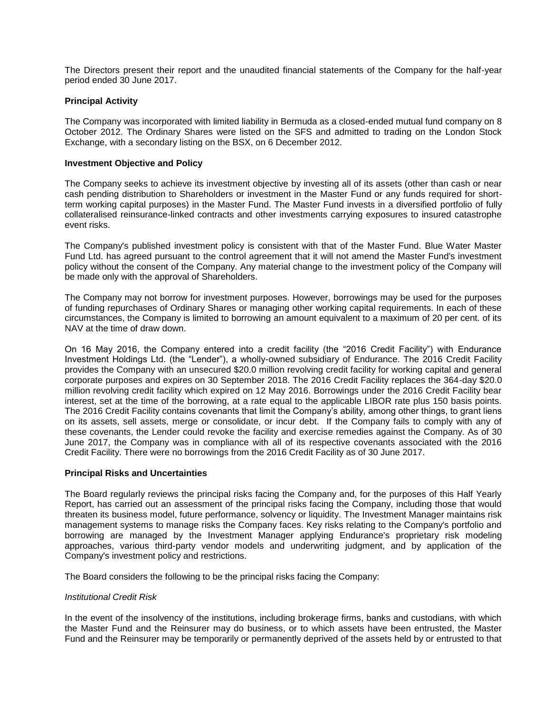The Directors present their report and the unaudited financial statements of the Company for the half-year period ended 30 June 2017.

# **Principal Activity**

The Company was incorporated with limited liability in Bermuda as a closed-ended mutual fund company on 8 October 2012. The Ordinary Shares were listed on the SFS and admitted to trading on the London Stock Exchange, with a secondary listing on the BSX, on 6 December 2012.

# **Investment Objective and Policy**

The Company seeks to achieve its investment objective by investing all of its assets (other than cash or near cash pending distribution to Shareholders or investment in the Master Fund or any funds required for shortterm working capital purposes) in the Master Fund. The Master Fund invests in a diversified portfolio of fully collateralised reinsurance-linked contracts and other investments carrying exposures to insured catastrophe event risks.

The Company's published investment policy is consistent with that of the Master Fund. Blue Water Master Fund Ltd. has agreed pursuant to the control agreement that it will not amend the Master Fund's investment policy without the consent of the Company. Any material change to the investment policy of the Company will be made only with the approval of Shareholders.

The Company may not borrow for investment purposes. However, borrowings may be used for the purposes of funding repurchases of Ordinary Shares or managing other working capital requirements. In each of these circumstances, the Company is limited to borrowing an amount equivalent to a maximum of 20 per cent. of its NAV at the time of draw down.

On 16 May 2016, the Company entered into a credit facility (the "2016 Credit Facility") with Endurance Investment Holdings Ltd. (the "Lender"), a wholly-owned subsidiary of Endurance. The 2016 Credit Facility provides the Company with an unsecured \$20.0 million revolving credit facility for working capital and general corporate purposes and expires on 30 September 2018. The 2016 Credit Facility replaces the 364-day \$20.0 million revolving credit facility which expired on 12 May 2016. Borrowings under the 2016 Credit Facility bear interest, set at the time of the borrowing, at a rate equal to the applicable LIBOR rate plus 150 basis points. The 2016 Credit Facility contains covenants that limit the Company's ability, among other things, to grant liens on its assets, sell assets, merge or consolidate, or incur debt. If the Company fails to comply with any of these covenants, the Lender could revoke the facility and exercise remedies against the Company. As of 30 June 2017, the Company was in compliance with all of its respective covenants associated with the 2016 Credit Facility. There were no borrowings from the 2016 Credit Facility as of 30 June 2017.

# **Principal Risks and Uncertainties**

The Board regularly reviews the principal risks facing the Company and, for the purposes of this Half Yearly Report, has carried out an assessment of the principal risks facing the Company, including those that would threaten its business model, future performance, solvency or liquidity. The Investment Manager maintains risk management systems to manage risks the Company faces. Key risks relating to the Company's portfolio and borrowing are managed by the Investment Manager applying Endurance's proprietary risk modeling approaches, various third-party vendor models and underwriting judgment, and by application of the Company's investment policy and restrictions.

The Board considers the following to be the principal risks facing the Company:

# *Institutional Credit Risk*

In the event of the insolvency of the institutions, including brokerage firms, banks and custodians, with which the Master Fund and the Reinsurer may do business, or to which assets have been entrusted, the Master Fund and the Reinsurer may be temporarily or permanently deprived of the assets held by or entrusted to that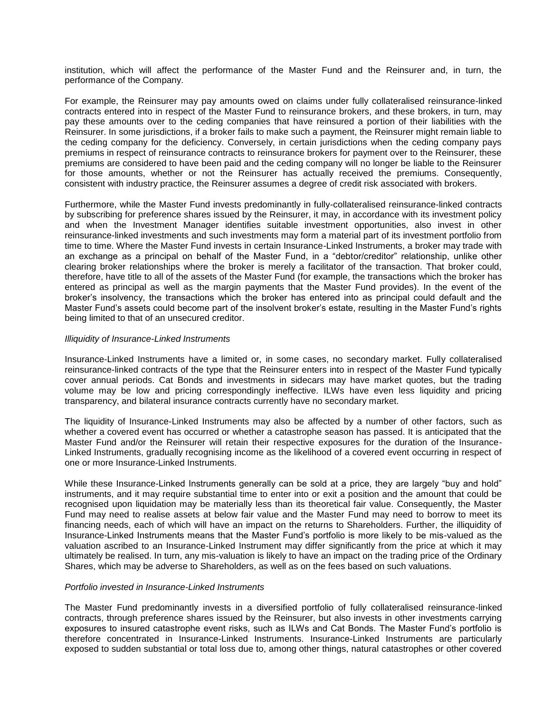institution, which will affect the performance of the Master Fund and the Reinsurer and, in turn, the performance of the Company.

For example, the Reinsurer may pay amounts owed on claims under fully collateralised reinsurance-linked contracts entered into in respect of the Master Fund to reinsurance brokers, and these brokers, in turn, may pay these amounts over to the ceding companies that have reinsured a portion of their liabilities with the Reinsurer. In some jurisdictions, if a broker fails to make such a payment, the Reinsurer might remain liable to the ceding company for the deficiency. Conversely, in certain jurisdictions when the ceding company pays premiums in respect of reinsurance contracts to reinsurance brokers for payment over to the Reinsurer, these premiums are considered to have been paid and the ceding company will no longer be liable to the Reinsurer for those amounts, whether or not the Reinsurer has actually received the premiums. Consequently, consistent with industry practice, the Reinsurer assumes a degree of credit risk associated with brokers.

Furthermore, while the Master Fund invests predominantly in fully-collateralised reinsurance-linked contracts by subscribing for preference shares issued by the Reinsurer, it may, in accordance with its investment policy and when the Investment Manager identifies suitable investment opportunities, also invest in other reinsurance-linked investments and such investments may form a material part of its investment portfolio from time to time. Where the Master Fund invests in certain Insurance-Linked Instruments, a broker may trade with an exchange as a principal on behalf of the Master Fund, in a "debtor/creditor" relationship, unlike other clearing broker relationships where the broker is merely a facilitator of the transaction. That broker could, therefore, have title to all of the assets of the Master Fund (for example, the transactions which the broker has entered as principal as well as the margin payments that the Master Fund provides). In the event of the broker's insolvency, the transactions which the broker has entered into as principal could default and the Master Fund's assets could become part of the insolvent broker's estate, resulting in the Master Fund's rights being limited to that of an unsecured creditor.

### *Illiquidity of Insurance-Linked Instruments*

Insurance-Linked Instruments have a limited or, in some cases, no secondary market. Fully collateralised reinsurance-linked contracts of the type that the Reinsurer enters into in respect of the Master Fund typically cover annual periods. Cat Bonds and investments in sidecars may have market quotes, but the trading volume may be low and pricing correspondingly ineffective. ILWs have even less liquidity and pricing transparency, and bilateral insurance contracts currently have no secondary market.

The liquidity of Insurance-Linked Instruments may also be affected by a number of other factors, such as whether a covered event has occurred or whether a catastrophe season has passed. It is anticipated that the Master Fund and/or the Reinsurer will retain their respective exposures for the duration of the Insurance-Linked Instruments, gradually recognising income as the likelihood of a covered event occurring in respect of one or more Insurance-Linked Instruments.

While these Insurance-Linked Instruments generally can be sold at a price, they are largely "buy and hold" instruments, and it may require substantial time to enter into or exit a position and the amount that could be recognised upon liquidation may be materially less than its theoretical fair value. Consequently, the Master Fund may need to realise assets at below fair value and the Master Fund may need to borrow to meet its financing needs, each of which will have an impact on the returns to Shareholders. Further, the illiquidity of Insurance-Linked Instruments means that the Master Fund's portfolio is more likely to be mis-valued as the valuation ascribed to an Insurance-Linked Instrument may differ significantly from the price at which it may ultimately be realised. In turn, any mis-valuation is likely to have an impact on the trading price of the Ordinary Shares, which may be adverse to Shareholders, as well as on the fees based on such valuations.

### *Portfolio invested in Insurance-Linked Instruments*

The Master Fund predominantly invests in a diversified portfolio of fully collateralised reinsurance-linked contracts, through preference shares issued by the Reinsurer, but also invests in other investments carrying exposures to insured catastrophe event risks, such as ILWs and Cat Bonds. The Master Fund's portfolio is therefore concentrated in Insurance-Linked Instruments. Insurance-Linked Instruments are particularly exposed to sudden substantial or total loss due to, among other things, natural catastrophes or other covered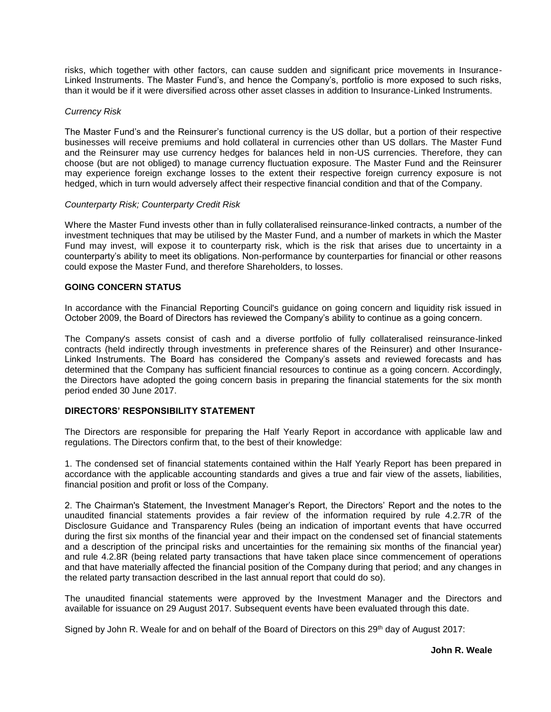risks, which together with other factors, can cause sudden and significant price movements in Insurance-Linked Instruments. The Master Fund's, and hence the Company's, portfolio is more exposed to such risks, than it would be if it were diversified across other asset classes in addition to Insurance-Linked Instruments.

### *Currency Risk*

The Master Fund's and the Reinsurer's functional currency is the US dollar, but a portion of their respective businesses will receive premiums and hold collateral in currencies other than US dollars. The Master Fund and the Reinsurer may use currency hedges for balances held in non-US currencies. Therefore, they can choose (but are not obliged) to manage currency fluctuation exposure. The Master Fund and the Reinsurer may experience foreign exchange losses to the extent their respective foreign currency exposure is not hedged, which in turn would adversely affect their respective financial condition and that of the Company.

### *Counterparty Risk; Counterparty Credit Risk*

Where the Master Fund invests other than in fully collateralised reinsurance-linked contracts, a number of the investment techniques that may be utilised by the Master Fund, and a number of markets in which the Master Fund may invest, will expose it to counterparty risk, which is the risk that arises due to uncertainty in a counterparty's ability to meet its obligations. Non-performance by counterparties for financial or other reasons could expose the Master Fund, and therefore Shareholders, to losses.

# **GOING CONCERN STATUS**

In accordance with the Financial Reporting Council's guidance on going concern and liquidity risk issued in October 2009, the Board of Directors has reviewed the Company's ability to continue as a going concern.

The Company's assets consist of cash and a diverse portfolio of fully collateralised reinsurance-linked contracts (held indirectly through investments in preference shares of the Reinsurer) and other Insurance-Linked Instruments. The Board has considered the Company's assets and reviewed forecasts and has determined that the Company has sufficient financial resources to continue as a going concern. Accordingly, the Directors have adopted the going concern basis in preparing the financial statements for the six month period ended 30 June 2017.

# **DIRECTORS' RESPONSIBILITY STATEMENT**

The Directors are responsible for preparing the Half Yearly Report in accordance with applicable law and regulations. The Directors confirm that, to the best of their knowledge:

1. The condensed set of financial statements contained within the Half Yearly Report has been prepared in accordance with the applicable accounting standards and gives a true and fair view of the assets, liabilities, financial position and profit or loss of the Company.

2. The Chairman's Statement, the Investment Manager's Report, the Directors' Report and the notes to the unaudited financial statements provides a fair review of the information required by rule 4.2.7R of the Disclosure Guidance and Transparency Rules (being an indication of important events that have occurred during the first six months of the financial year and their impact on the condensed set of financial statements and a description of the principal risks and uncertainties for the remaining six months of the financial year) and rule 4.2.8R (being related party transactions that have taken place since commencement of operations and that have materially affected the financial position of the Company during that period; and any changes in the related party transaction described in the last annual report that could do so).

The unaudited financial statements were approved by the Investment Manager and the Directors and available for issuance on 29 August 2017. Subsequent events have been evaluated through this date.

Signed by John R. Weale for and on behalf of the Board of Directors on this 29<sup>th</sup> day of August 2017: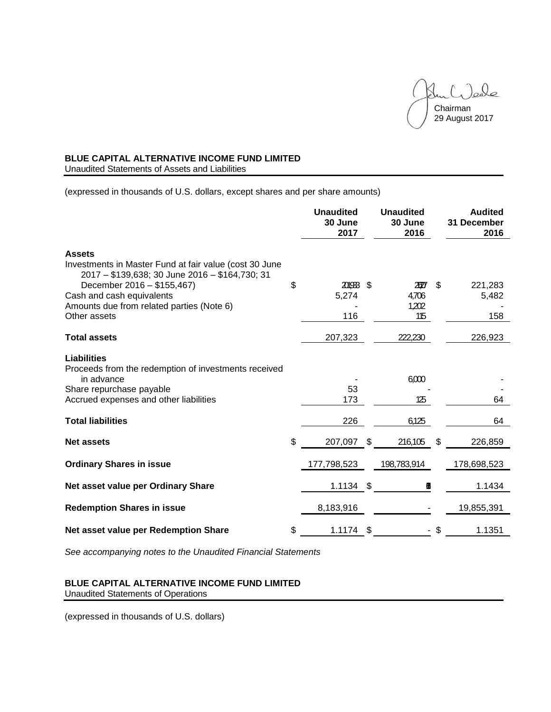$(.)$ eale Chairman 29 August 2017

# **BLUE CAPITAL ALTERNATIVE INCOME FUND LIMITED**

Unaudited Statements of Assets and Liabilities

(expressed in thousands of U.S. dollars, except shares and per share amounts)

|                                                                                                                           | <b>Unaudited</b><br>30 June<br>2017 |     | <b>Unaudited</b><br>30 June<br>2016 | <b>Audited</b><br>31 December<br>2016 |
|---------------------------------------------------------------------------------------------------------------------------|-------------------------------------|-----|-------------------------------------|---------------------------------------|
| <b>Assets</b><br>Investments in Master Fund at fair value (cost 30 June<br>2017 - \$139,638; 30 June 2016 - \$164,730; 31 |                                     |     |                                     |                                       |
| December 2016 - \$155,467)                                                                                                | \$<br>201933 \$                     |     | ZДY                                 | \$<br>221,283                         |
| Cash and cash equivalents<br>Amounts due from related parties (Note 6)                                                    | 5,274                               |     | 4,706<br>1,202                      | 5,482                                 |
| Other assets                                                                                                              | 116                                 |     | 115                                 | 158                                   |
| <b>Total assets</b>                                                                                                       | 207,323                             |     | 222,230                             | 226,923                               |
| Liabilities<br>Proceeds from the redemption of investments received<br>in advance<br>Share repurchase payable             | 53                                  |     | 6,000                               |                                       |
| Accrued expenses and other liabilities                                                                                    | 173                                 |     | 125                                 | 64                                    |
|                                                                                                                           |                                     |     |                                     |                                       |
| <b>Total liabilities</b>                                                                                                  | 226                                 |     | 6,125                               | 64                                    |
| <b>Net assets</b>                                                                                                         | \$<br>207,097                       | \$. | 216,105                             | \$<br>226,859                         |
| <b>Ordinary Shares in issue</b>                                                                                           | 177,798,523                         |     | 198,783,914                         | 178,698,523                           |
| Net asset value per Ordinary Share                                                                                        | 1.1134                              | -\$ | П                                   | 1.1434                                |
| <b>Redemption Shares in issue</b>                                                                                         | 8,183,916                           |     |                                     | 19,855,391                            |
| Net asset value per Redemption Share                                                                                      | \$<br>$1.1174$ \$                   |     |                                     | \$<br>1.1351                          |

*See accompanying notes to the Unaudited Financial Statements*

# **BLUE CAPITAL ALTERNATIVE INCOME FUND LIMITED** Unaudited Statements of Operations

(expressed in thousands of U.S. dollars)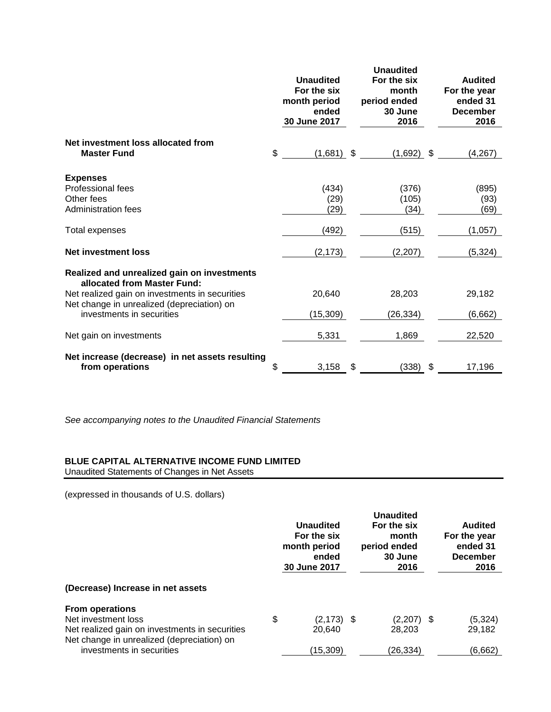|                                                                                                                                                                                                         | <b>Unaudited</b><br>For the six<br>month period<br>ended<br>30 June 2017 | <b>Unaudited</b><br>For the six<br>month<br>period ended<br>30 June<br>2016 | <b>Audited</b><br>For the year<br>ended 31<br><b>December</b><br>2016 |
|---------------------------------------------------------------------------------------------------------------------------------------------------------------------------------------------------------|--------------------------------------------------------------------------|-----------------------------------------------------------------------------|-----------------------------------------------------------------------|
| Net investment loss allocated from<br><b>Master Fund</b>                                                                                                                                                | \$<br>$(1,681)$ \$                                                       | $(1,692)$ \$                                                                | (4,267)                                                               |
| <b>Expenses</b><br>Professional fees<br>Other fees<br><b>Administration fees</b>                                                                                                                        | (434)<br>(29)<br>(29)                                                    | (376)<br>(105)<br>(34)                                                      | (895)<br>(93)<br>(69)                                                 |
| Total expenses                                                                                                                                                                                          | (492)                                                                    | (515)                                                                       | (1,057)                                                               |
| <b>Net investment loss</b>                                                                                                                                                                              | (2, 173)                                                                 | (2,207)                                                                     | (5, 324)                                                              |
| Realized and unrealized gain on investments<br>allocated from Master Fund:<br>Net realized gain on investments in securities<br>Net change in unrealized (depreciation) on<br>investments in securities | 20,640<br>(15, 309)                                                      | 28,203<br>(26, 334)                                                         | 29,182<br>(6,662)                                                     |
| Net gain on investments                                                                                                                                                                                 | 5,331                                                                    | 1,869                                                                       | 22,520                                                                |
| Net increase (decrease) in net assets resulting<br>from operations                                                                                                                                      | \$<br>3,158                                                              | \$<br>(338)                                                                 | \$<br>17,196                                                          |

*See accompanying notes to the Unaudited Financial Statements*

# **BLUE CAPITAL ALTERNATIVE INCOME FUND LIMITED**

Unaudited Statements of Changes in Net Assets

(expressed in thousands of U.S. dollars)

|                                                                                              | Unaudited<br>For the six<br>month period<br>ended<br>30 June 2017 | <b>Unaudited</b><br>For the six<br>month<br>period ended<br>30 June<br>2016 | Audited<br>For the year<br>ended 31<br><b>December</b><br>2016 |
|----------------------------------------------------------------------------------------------|-------------------------------------------------------------------|-----------------------------------------------------------------------------|----------------------------------------------------------------|
| (Decrease) Increase in net assets                                                            |                                                                   |                                                                             |                                                                |
| <b>From operations</b>                                                                       |                                                                   |                                                                             |                                                                |
| Net investment loss                                                                          | \$<br>$(2, 173)$ \$                                               | $(2,207)$ \$                                                                | (5, 324)                                                       |
| Net realized gain on investments in securities<br>Net change in unrealized (depreciation) on | 20.640                                                            | 28.203                                                                      | 29.182                                                         |
| investments in securities                                                                    | (15,309)                                                          | (26,334)                                                                    | (6,662)                                                        |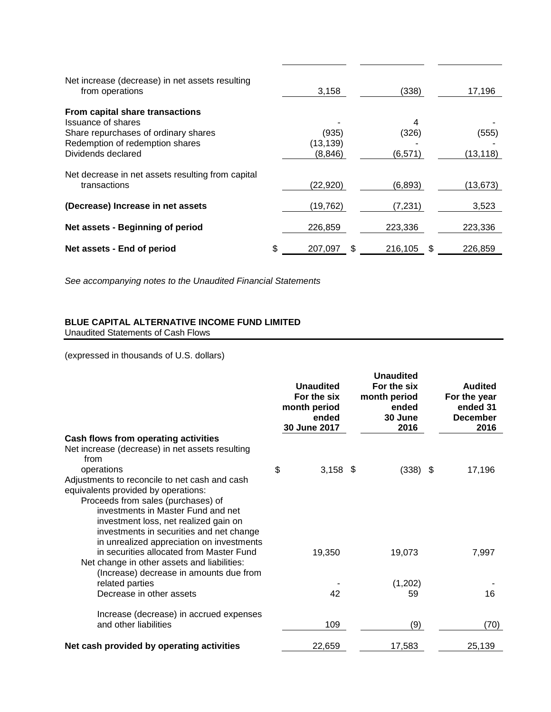| Net increase (decrease) in net assets resulting<br>from operations                                                                                     | 3,158                         | (338)                  |     | 17,196             |
|--------------------------------------------------------------------------------------------------------------------------------------------------------|-------------------------------|------------------------|-----|--------------------|
| From capital share transactions<br>Issuance of shares<br>Share repurchases of ordinary shares<br>Redemption of redemption shares<br>Dividends declared | (935)<br>(13,139)<br>(8, 846) | 4<br>(326)<br>(6, 571) |     | (555)<br>(13, 118) |
| Net decrease in net assets resulting from capital<br>transactions                                                                                      | (22,920)                      | (6,893)                |     | (13,673)           |
| (Decrease) Increase in net assets                                                                                                                      | (19, 762)                     | (7,231)                |     | 3,523              |
| Net assets - Beginning of period                                                                                                                       | 226,859                       | 223,336                |     | 223,336            |
| Net assets - End of period                                                                                                                             | \$<br>207.097                 | 216,105                | \$. | 226,859            |

*See accompanying notes to the Unaudited Financial Statements*

# **BLUE CAPITAL ALTERNATIVE INCOME FUND LIMITED**

Unaudited Statements of Cash Flows

(expressed in thousands of U.S. dollars)

|                                                                                        |    | <b>Unaudited</b><br>For the six<br>month period<br>ended<br>30 June 2017 |  | <b>Unaudited</b><br>For the six<br>month period<br>ended<br>30 June<br>2016 | <b>Audited</b><br>For the year<br>ended 31<br><b>December</b><br>2016 |
|----------------------------------------------------------------------------------------|----|--------------------------------------------------------------------------|--|-----------------------------------------------------------------------------|-----------------------------------------------------------------------|
| Cash flows from operating activities                                                   |    |                                                                          |  |                                                                             |                                                                       |
| Net increase (decrease) in net assets resulting<br>from                                |    |                                                                          |  |                                                                             |                                                                       |
| operations                                                                             | \$ | $3,158$ \$                                                               |  | $(338)$ \$                                                                  | 17,196                                                                |
| Adjustments to reconcile to net cash and cash<br>equivalents provided by operations:   |    |                                                                          |  |                                                                             |                                                                       |
| Proceeds from sales (purchases) of                                                     |    |                                                                          |  |                                                                             |                                                                       |
| investments in Master Fund and net                                                     |    |                                                                          |  |                                                                             |                                                                       |
| investment loss, net realized gain on<br>investments in securities and net change      |    |                                                                          |  |                                                                             |                                                                       |
| in unrealized appreciation on investments                                              |    |                                                                          |  |                                                                             |                                                                       |
| in securities allocated from Master Fund                                               |    | 19,350                                                                   |  | 19,073                                                                      | 7,997                                                                 |
| Net change in other assets and liabilities:<br>(Increase) decrease in amounts due from |    |                                                                          |  |                                                                             |                                                                       |
| related parties                                                                        |    |                                                                          |  | (1,202)                                                                     |                                                                       |
| Decrease in other assets                                                               |    | 42                                                                       |  | 59                                                                          | 16                                                                    |
| Increase (decrease) in accrued expenses                                                |    |                                                                          |  |                                                                             |                                                                       |
| and other liabilities                                                                  |    | 109                                                                      |  | (9)                                                                         | (70)                                                                  |
| Net cash provided by operating activities                                              |    | 22,659                                                                   |  | 17,583                                                                      | 25,139                                                                |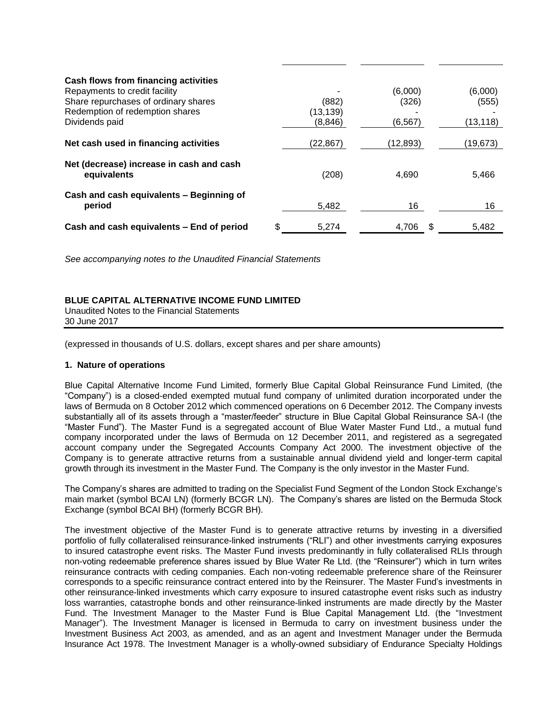| Cash flows from financing activities                    |             |          |    |           |
|---------------------------------------------------------|-------------|----------|----|-----------|
| Repayments to credit facility                           |             | (6,000)  |    | (6,000)   |
| Share repurchases of ordinary shares                    | (882)       | (326)    |    | (555)     |
| Redemption of redemption shares                         | (13,139)    |          |    |           |
| Dividends paid                                          | (8, 846)    | (6, 567) |    | (13, 118) |
| Net cash used in financing activities                   | (22, 867)   | (12,893) |    | (19,673)  |
| Net (decrease) increase in cash and cash<br>equivalents | (208)       | 4.690    |    | 5,466     |
| Cash and cash equivalents - Beginning of<br>period      | 5,482       | 16       |    | 16        |
| Cash and cash equivalents - End of period               | \$<br>5,274 | 4.706    | -S | 5,482     |

*See accompanying notes to the Unaudited Financial Statements*

# **BLUE CAPITAL ALTERNATIVE INCOME FUND LIMITED**

Unaudited Notes to the Financial Statements 30 June 2017

(expressed in thousands of U.S. dollars, except shares and per share amounts)

### **1. Nature of operations**

Blue Capital Alternative Income Fund Limited, formerly Blue Capital Global Reinsurance Fund Limited, (the "Company") is a closed-ended exempted mutual fund company of unlimited duration incorporated under the laws of Bermuda on 8 October 2012 which commenced operations on 6 December 2012. The Company invests substantially all of its assets through a "master/feeder" structure in Blue Capital Global Reinsurance SA-I (the "Master Fund"). The Master Fund is a segregated account of Blue Water Master Fund Ltd., a mutual fund company incorporated under the laws of Bermuda on 12 December 2011, and registered as a segregated account company under the Segregated Accounts Company Act 2000. The investment objective of the Company is to generate attractive returns from a sustainable annual dividend yield and longer-term capital growth through its investment in the Master Fund. The Company is the only investor in the Master Fund.

The Company's shares are admitted to trading on the Specialist Fund Segment of the London Stock Exchange's main market (symbol BCAI LN) (formerly BCGR LN). The Company's shares are listed on the Bermuda Stock Exchange (symbol BCAI BH) (formerly BCGR BH).

The investment objective of the Master Fund is to generate attractive returns by investing in a diversified portfolio of fully collateralised reinsurance-linked instruments ("RLI") and other investments carrying exposures to insured catastrophe event risks. The Master Fund invests predominantly in fully collateralised RLIs through non-voting redeemable preference shares issued by Blue Water Re Ltd. (the "Reinsurer") which in turn writes reinsurance contracts with ceding companies. Each non-voting redeemable preference share of the Reinsurer corresponds to a specific reinsurance contract entered into by the Reinsurer. The Master Fund's investments in other reinsurance-linked investments which carry exposure to insured catastrophe event risks such as industry loss warranties, catastrophe bonds and other reinsurance-linked instruments are made directly by the Master Fund. The Investment Manager to the Master Fund is Blue Capital Management Ltd. (the "Investment Manager"). The Investment Manager is licensed in Bermuda to carry on investment business under the Investment Business Act 2003, as amended, and as an agent and Investment Manager under the Bermuda Insurance Act 1978. The Investment Manager is a wholly-owned subsidiary of Endurance Specialty Holdings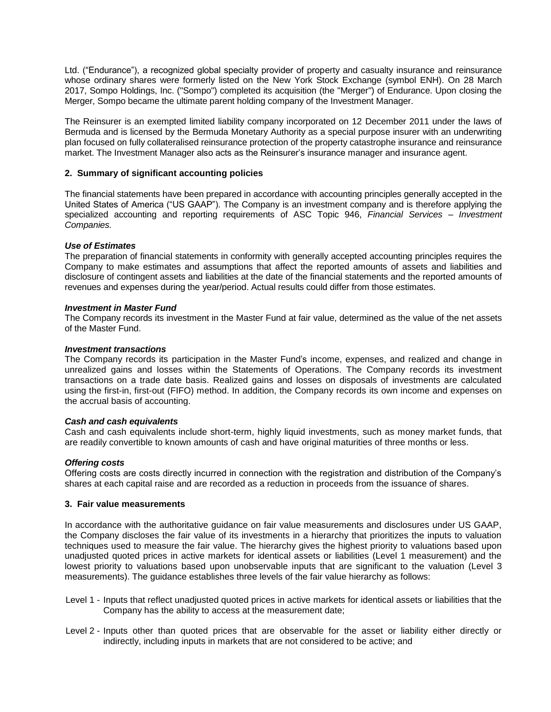Ltd. ("Endurance"), a recognized global specialty provider of property and casualty insurance and reinsurance whose ordinary shares were formerly listed on the New York Stock Exchange (symbol ENH). On 28 March 2017, Sompo Holdings, Inc. ("Sompo") completed its acquisition (the "Merger") of Endurance. Upon closing the Merger, Sompo became the ultimate parent holding company of the Investment Manager.

The Reinsurer is an exempted limited liability company incorporated on 12 December 2011 under the laws of Bermuda and is licensed by the Bermuda Monetary Authority as a special purpose insurer with an underwriting plan focused on fully collateralised reinsurance protection of the property catastrophe insurance and reinsurance market. The Investment Manager also acts as the Reinsurer's insurance manager and insurance agent.

# **2. Summary of significant accounting policies**

The financial statements have been prepared in accordance with accounting principles generally accepted in the United States of America ("US GAAP"). The Company is an investment company and is therefore applying the specialized accounting and reporting requirements of ASC Topic 946, *Financial Services – Investment Companies.*

# *Use of Estimates*

The preparation of financial statements in conformity with generally accepted accounting principles requires the Company to make estimates and assumptions that affect the reported amounts of assets and liabilities and disclosure of contingent assets and liabilities at the date of the financial statements and the reported amounts of revenues and expenses during the year/period. Actual results could differ from those estimates.

# *Investment in Master Fund*

The Company records its investment in the Master Fund at fair value, determined as the value of the net assets of the Master Fund.

# *Investment transactions*

The Company records its participation in the Master Fund's income, expenses, and realized and change in unrealized gains and losses within the Statements of Operations. The Company records its investment transactions on a trade date basis. Realized gains and losses on disposals of investments are calculated using the first-in, first-out (FIFO) method. In addition, the Company records its own income and expenses on the accrual basis of accounting.

# *Cash and cash equivalents*

Cash and cash equivalents include short-term, highly liquid investments, such as money market funds, that are readily convertible to known amounts of cash and have original maturities of three months or less.

# *Offering costs*

Offering costs are costs directly incurred in connection with the registration and distribution of the Company's shares at each capital raise and are recorded as a reduction in proceeds from the issuance of shares.

# **3. Fair value measurements**

In accordance with the authoritative guidance on fair value measurements and disclosures under US GAAP, the Company discloses the fair value of its investments in a hierarchy that prioritizes the inputs to valuation techniques used to measure the fair value. The hierarchy gives the highest priority to valuations based upon unadjusted quoted prices in active markets for identical assets or liabilities (Level 1 measurement) and the lowest priority to valuations based upon unobservable inputs that are significant to the valuation (Level 3 measurements). The guidance establishes three levels of the fair value hierarchy as follows:

- Level 1 Inputs that reflect unadjusted quoted prices in active markets for identical assets or liabilities that the Company has the ability to access at the measurement date;
- Level 2 Inputs other than quoted prices that are observable for the asset or liability either directly or indirectly, including inputs in markets that are not considered to be active; and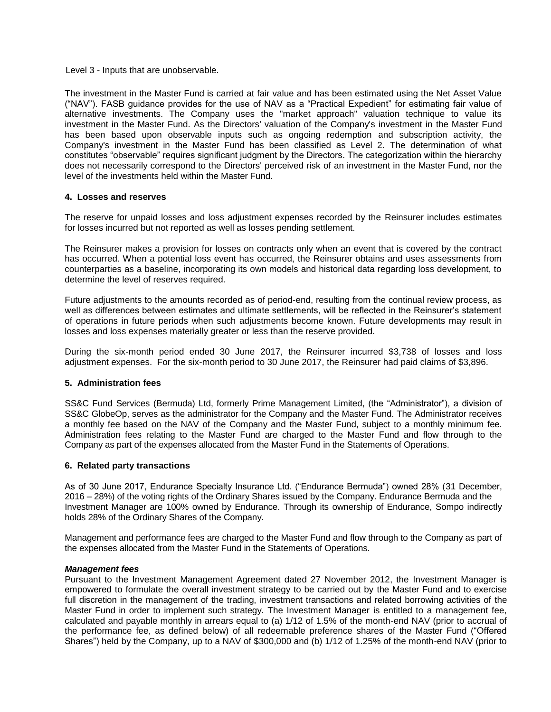Level 3 - Inputs that are unobservable.

The investment in the Master Fund is carried at fair value and has been estimated using the Net Asset Value ("NAV"). FASB guidance provides for the use of NAV as a "Practical Expedient" for estimating fair value of alternative investments. The Company uses the "market approach" valuation technique to value its investment in the Master Fund. As the Directors' valuation of the Company's investment in the Master Fund has been based upon observable inputs such as ongoing redemption and subscription activity, the Company's investment in the Master Fund has been classified as Level 2. The determination of what constitutes "observable" requires significant judgment by the Directors. The categorization within the hierarchy does not necessarily correspond to the Directors' perceived risk of an investment in the Master Fund, nor the level of the investments held within the Master Fund.

### **4. Losses and reserves**

The reserve for unpaid losses and loss adjustment expenses recorded by the Reinsurer includes estimates for losses incurred but not reported as well as losses pending settlement.

The Reinsurer makes a provision for losses on contracts only when an event that is covered by the contract has occurred. When a potential loss event has occurred, the Reinsurer obtains and uses assessments from counterparties as a baseline, incorporating its own models and historical data regarding loss development, to determine the level of reserves required.

Future adjustments to the amounts recorded as of period-end, resulting from the continual review process, as well as differences between estimates and ultimate settlements, will be reflected in the Reinsurer's statement of operations in future periods when such adjustments become known. Future developments may result in losses and loss expenses materially greater or less than the reserve provided.

During the six-month period ended 30 June 2017, the Reinsurer incurred \$3,738 of losses and loss adjustment expenses. For the six-month period to 30 June 2017, the Reinsurer had paid claims of \$3,896.

# **5. Administration fees**

SS&C Fund Services (Bermuda) Ltd, formerly Prime Management Limited, (the "Administrator"), a division of SS&C GlobeOp, serves as the administrator for the Company and the Master Fund. The Administrator receives a monthly fee based on the NAV of the Company and the Master Fund, subject to a monthly minimum fee. Administration fees relating to the Master Fund are charged to the Master Fund and flow through to the Company as part of the expenses allocated from the Master Fund in the Statements of Operations.

# **6. Related party transactions**

As of 30 June 2017, Endurance Specialty Insurance Ltd. ("Endurance Bermuda") owned 28% (31 December, 2016 – 28%) of the voting rights of the Ordinary Shares issued by the Company. Endurance Bermuda and the Investment Manager are 100% owned by Endurance. Through its ownership of Endurance, Sompo indirectly holds 28% of the Ordinary Shares of the Company.

Management and performance fees are charged to the Master Fund and flow through to the Company as part of the expenses allocated from the Master Fund in the Statements of Operations.

### *Management fees*

Pursuant to the Investment Management Agreement dated 27 November 2012, the Investment Manager is empowered to formulate the overall investment strategy to be carried out by the Master Fund and to exercise full discretion in the management of the trading, investment transactions and related borrowing activities of the Master Fund in order to implement such strategy. The Investment Manager is entitled to a management fee, calculated and payable monthly in arrears equal to (a) 1/12 of 1.5% of the month-end NAV (prior to accrual of the performance fee, as defined below) of all redeemable preference shares of the Master Fund ("Offered Shares") held by the Company, up to a NAV of \$300,000 and (b) 1/12 of 1.25% of the month-end NAV (prior to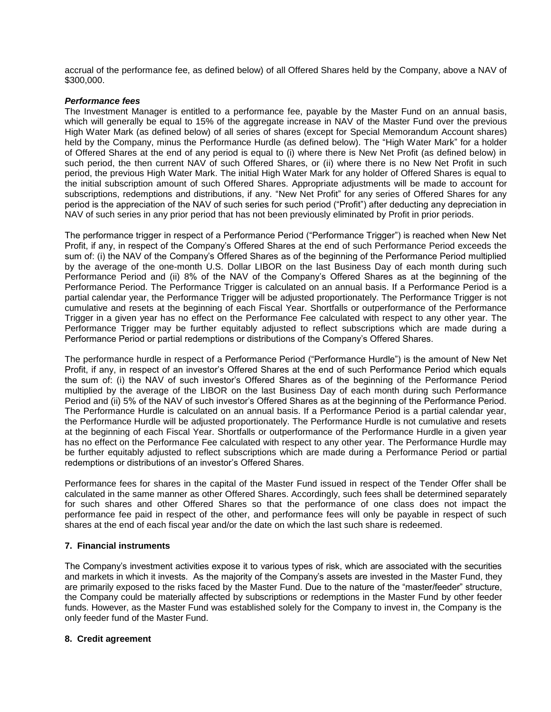accrual of the performance fee, as defined below) of all Offered Shares held by the Company, above a NAV of \$300,000.

### *Performance fees*

The Investment Manager is entitled to a performance fee, payable by the Master Fund on an annual basis, which will generally be equal to 15% of the aggregate increase in NAV of the Master Fund over the previous High Water Mark (as defined below) of all series of shares (except for Special Memorandum Account shares) held by the Company, minus the Performance Hurdle (as defined below). The "High Water Mark" for a holder of Offered Shares at the end of any period is equal to (i) where there is New Net Profit (as defined below) in such period, the then current NAV of such Offered Shares, or (ii) where there is no New Net Profit in such period, the previous High Water Mark. The initial High Water Mark for any holder of Offered Shares is equal to the initial subscription amount of such Offered Shares. Appropriate adjustments will be made to account for subscriptions, redemptions and distributions, if any. "New Net Profit" for any series of Offered Shares for any period is the appreciation of the NAV of such series for such period ("Profit") after deducting any depreciation in NAV of such series in any prior period that has not been previously eliminated by Profit in prior periods.

The performance trigger in respect of a Performance Period ("Performance Trigger") is reached when New Net Profit, if any, in respect of the Company's Offered Shares at the end of such Performance Period exceeds the sum of: (i) the NAV of the Company's Offered Shares as of the beginning of the Performance Period multiplied by the average of the one-month U.S. Dollar LIBOR on the last Business Day of each month during such Performance Period and (ii) 8% of the NAV of the Company's Offered Shares as at the beginning of the Performance Period. The Performance Trigger is calculated on an annual basis. If a Performance Period is a partial calendar year, the Performance Trigger will be adjusted proportionately. The Performance Trigger is not cumulative and resets at the beginning of each Fiscal Year. Shortfalls or outperformance of the Performance Trigger in a given year has no effect on the Performance Fee calculated with respect to any other year. The Performance Trigger may be further equitably adjusted to reflect subscriptions which are made during a Performance Period or partial redemptions or distributions of the Company's Offered Shares.

The performance hurdle in respect of a Performance Period ("Performance Hurdle") is the amount of New Net Profit, if any, in respect of an investor's Offered Shares at the end of such Performance Period which equals the sum of: (i) the NAV of such investor's Offered Shares as of the beginning of the Performance Period multiplied by the average of the LIBOR on the last Business Day of each month during such Performance Period and (ii) 5% of the NAV of such investor's Offered Shares as at the beginning of the Performance Period. The Performance Hurdle is calculated on an annual basis. If a Performance Period is a partial calendar year, the Performance Hurdle will be adjusted proportionately. The Performance Hurdle is not cumulative and resets at the beginning of each Fiscal Year. Shortfalls or outperformance of the Performance Hurdle in a given year has no effect on the Performance Fee calculated with respect to any other year. The Performance Hurdle may be further equitably adjusted to reflect subscriptions which are made during a Performance Period or partial redemptions or distributions of an investor's Offered Shares.

Performance fees for shares in the capital of the Master Fund issued in respect of the Tender Offer shall be calculated in the same manner as other Offered Shares. Accordingly, such fees shall be determined separately for such shares and other Offered Shares so that the performance of one class does not impact the performance fee paid in respect of the other, and performance fees will only be payable in respect of such shares at the end of each fiscal year and/or the date on which the last such share is redeemed.

### **7. Financial instruments**

The Company's investment activities expose it to various types of risk, which are associated with the securities and markets in which it invests. As the majority of the Company's assets are invested in the Master Fund, they are primarily exposed to the risks faced by the Master Fund. Due to the nature of the "master/feeder" structure, the Company could be materially affected by subscriptions or redemptions in the Master Fund by other feeder funds. However, as the Master Fund was established solely for the Company to invest in, the Company is the only feeder fund of the Master Fund.

### **8. Credit agreement**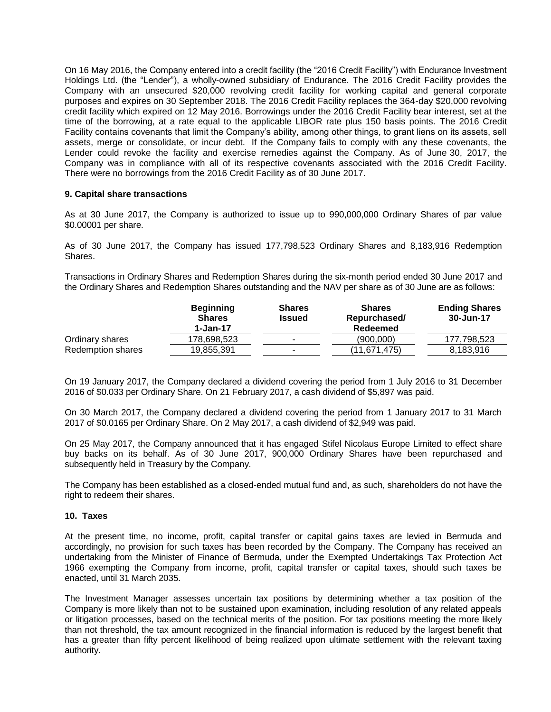On 16 May 2016, the Company entered into a credit facility (the "2016 Credit Facility") with Endurance Investment Holdings Ltd. (the "Lender"), a wholly-owned subsidiary of Endurance. The 2016 Credit Facility provides the Company with an unsecured \$20,000 revolving credit facility for working capital and general corporate purposes and expires on 30 September 2018. The 2016 Credit Facility replaces the 364-day \$20,000 revolving credit facility which expired on 12 May 2016. Borrowings under the 2016 Credit Facility bear interest, set at the time of the borrowing, at a rate equal to the applicable LIBOR rate plus 150 basis points. The 2016 Credit Facility contains covenants that limit the Company's ability, among other things, to grant liens on its assets, sell assets, merge or consolidate, or incur debt. If the Company fails to comply with any these covenants, the Lender could revoke the facility and exercise remedies against the Company. As of June 30, 2017, the Company was in compliance with all of its respective covenants associated with the 2016 Credit Facility. There were no borrowings from the 2016 Credit Facility as of 30 June 2017.

### **9. Capital share transactions**

As at 30 June 2017, the Company is authorized to issue up to 990,000,000 Ordinary Shares of par value \$0.00001 per share.

As of 30 June 2017, the Company has issued 177,798,523 Ordinary Shares and 8,183,916 Redemption Shares.

Transactions in Ordinary Shares and Redemption Shares during the six-month period ended 30 June 2017 and the Ordinary Shares and Redemption Shares outstanding and the NAV per share as of 30 June are as follows:

|                   | <b>Beginning</b><br><b>Shares</b><br>1-Jan-17 | <b>Shares</b><br><b>Issued</b> | <b>Shares</b><br>Repurchased/<br>Redeemed | <b>Ending Shares</b><br>30-Jun-17 |
|-------------------|-----------------------------------------------|--------------------------------|-------------------------------------------|-----------------------------------|
| Ordinary shares   | 178.698.523                                   |                                | (900.000)                                 | 177.798.523                       |
| Redemption shares | 19,855,391                                    | $\overline{\phantom{a}}$       | (11.671.475)                              | 8,183,916                         |

On 19 January 2017, the Company declared a dividend covering the period from 1 July 2016 to 31 December 2016 of \$0.033 per Ordinary Share. On 21 February 2017, a cash dividend of \$5,897 was paid.

On 30 March 2017, the Company declared a dividend covering the period from 1 January 2017 to 31 March 2017 of \$0.0165 per Ordinary Share. On 2 May 2017, a cash dividend of \$2,949 was paid.

On 25 May 2017, the Company announced that it has engaged Stifel Nicolaus Europe Limited to effect share buy backs on its behalf. As of 30 June 2017, 900,000 Ordinary Shares have been repurchased and subsequently held in Treasury by the Company.

The Company has been established as a closed-ended mutual fund and, as such, shareholders do not have the right to redeem their shares.

### **10. Taxes**

At the present time, no income, profit, capital transfer or capital gains taxes are levied in Bermuda and accordingly, no provision for such taxes has been recorded by the Company. The Company has received an undertaking from the Minister of Finance of Bermuda, under the Exempted Undertakings Tax Protection Act 1966 exempting the Company from income, profit, capital transfer or capital taxes, should such taxes be enacted, until 31 March 2035.

The Investment Manager assesses uncertain tax positions by determining whether a tax position of the Company is more likely than not to be sustained upon examination, including resolution of any related appeals or litigation processes, based on the technical merits of the position. For tax positions meeting the more likely than not threshold, the tax amount recognized in the financial information is reduced by the largest benefit that has a greater than fifty percent likelihood of being realized upon ultimate settlement with the relevant taxing authority.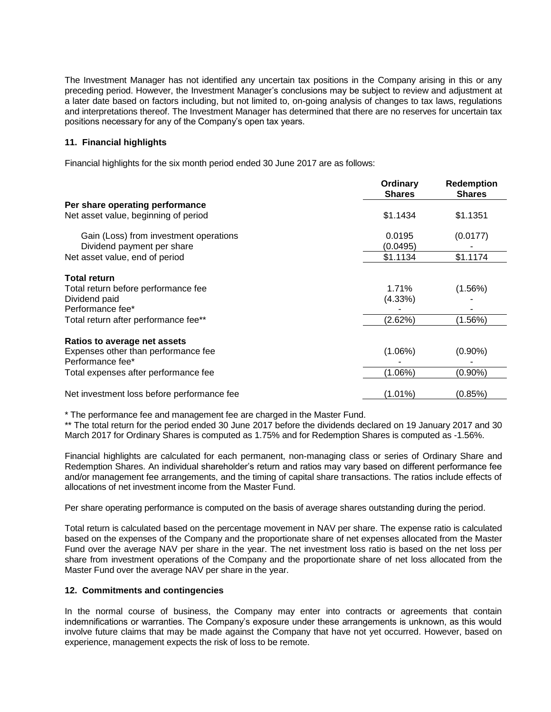The Investment Manager has not identified any uncertain tax positions in the Company arising in this or any preceding period. However, the Investment Manager's conclusions may be subject to review and adjustment at a later date based on factors including, but not limited to, on-going analysis of changes to tax laws, regulations and interpretations thereof. The Investment Manager has determined that there are no reserves for uncertain tax positions necessary for any of the Company's open tax years.

# **11. Financial highlights**

Financial highlights for the six month period ended 30 June 2017 are as follows:

| Ordinary<br><b>Shares</b> | <b>Redemption</b><br><b>Shares</b> |
|---------------------------|------------------------------------|
|                           |                                    |
| \$1.1434                  | \$1.1351                           |
| 0.0195                    | (0.0177)                           |
| (0.0495)                  |                                    |
| \$1.1134                  | \$1.1174                           |
|                           |                                    |
| 1.71%                     | $(1.56\%)$                         |
| (4.33%)                   |                                    |
|                           |                                    |
| (2.62%)                   | (1.56%)                            |
|                           |                                    |
|                           | $(0.90\%)$                         |
|                           |                                    |
| $(1.06\%)$                | $(0.90\%)$                         |
|                           | (0.85%)                            |
|                           | $(1.06\%)$<br>(1.01%)              |

\* The performance fee and management fee are charged in the Master Fund.

\*\* The total return for the period ended 30 June 2017 before the dividends declared on 19 January 2017 and 30 March 2017 for Ordinary Shares is computed as 1.75% and for Redemption Shares is computed as -1.56%.

Financial highlights are calculated for each permanent, non-managing class or series of Ordinary Share and Redemption Shares. An individual shareholder's return and ratios may vary based on different performance fee and/or management fee arrangements, and the timing of capital share transactions. The ratios include effects of allocations of net investment income from the Master Fund.

Per share operating performance is computed on the basis of average shares outstanding during the period.

Total return is calculated based on the percentage movement in NAV per share. The expense ratio is calculated based on the expenses of the Company and the proportionate share of net expenses allocated from the Master Fund over the average NAV per share in the year. The net investment loss ratio is based on the net loss per share from investment operations of the Company and the proportionate share of net loss allocated from the Master Fund over the average NAV per share in the year.

# **12. Commitments and contingencies**

In the normal course of business, the Company may enter into contracts or agreements that contain indemnifications or warranties. The Company's exposure under these arrangements is unknown, as this would involve future claims that may be made against the Company that have not yet occurred. However, based on experience, management expects the risk of loss to be remote.